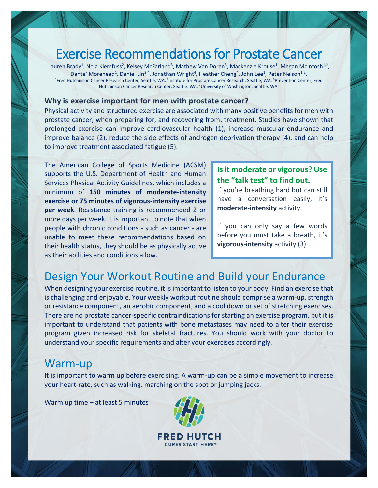# Exercise Recommendations for Prostate Cancer

Lauren Brady<sup>1</sup>, Nola Klemfuss<sup>2</sup>, Kelsey McFarland<sup>3</sup>, Mathew Van Doren<sup>3</sup>, Mackenzie Krouse<sup>1</sup>, Megan McIntosh<sup>1,2</sup>, Dante' Morehead<sup>1</sup>, Daniel Lin<sup>2,4</sup>, Jonathan Wright<sup>4</sup>, Heather Cheng<sup>4</sup>, John Lee<sup>1</sup>, Peter Nelson<sup>1,2</sup>. <sup>1</sup>Fred Hutchinson Cancer Research Center, Seattle, WA, <sup>2</sup>Institute for Prostate Cancer Research, Seattle, WA, <sup>3</sup>Prevention Center, Fred Hutchinson Cancer Research Center, Seattle, WA, <sup>4</sup>University of Washington, Seattle, WA.

#### **Why is exercise important for men with prostate cancer?**

Physical activity and structured exercise are associated with many positive benefits for men with prostate cancer, when preparing for, and recovering from, treatment. Studies have shown that prolonged exercise can improve cardiovascular health (1), increase muscular endurance and improve balance (2), reduce the side effects of androgen deprivation therapy (4), and can help to improve treatment associated fatigue (5).

The American College of Sports Medicine (ACSM) supports the U.S. Department of Health and Human Services Physical Activity Guidelines, which includes a minimum of **150 minutes of moderate-intensity exercise or 75 minutes of vigorous-intensity exercise per week**. Resistance training is recommended 2 or more days per week. It is important to note that when people with chronic conditions - such as cancer - are unable to meet these recommendations based on their health status, they should be as physically active as their abilities and conditions allow.

#### **Is it moderate or vigorous? Use the "talk test" to find out.**

If you're breathing hard but can still have a conversation easily, it's **moderate-intensity** activity.

If you can only say a few words before you must take a breath, it's **vigorous-intensity** activity (3).

## Design Your Workout Routine and Build your Endurance

When designing your exercise routine, it is important to listen to your body. Find an exercise that is challenging and enjoyable. Your weekly workout routine should comprise a warm-up, strength or resistance component, an aerobic component, and a cool down or set of stretching exercises. There are no prostate cancer-specific contraindications for starting an exercise program, but it is important to understand that patients with bone metastases may need to alter their exercise program given increased risk for skeletal fractures. You should work with your doctor to understand your specific requirements and alter your exercises accordingly.

### Warm-up

It is important to warm up before exercising. A warm-up can be a simple movement to increase your heart-rate, such as walking, marching on the spot or jumping jacks.

Warm up time – at least 5 minutes

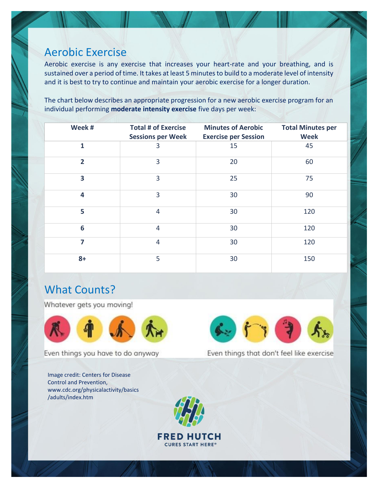### Aerobic Exercise

Aerobic exercise is any exercise that increases your heart-rate and your breathing, and is sustained over a period of time. It takes at least 5 minutes to build to a moderate level of intensity and it is best to try to continue and maintain your aerobic exercise for a longer duration.

The chart below describes an appropriate progression for a new aerobic exercise program for an individual performing **moderate intensity exercise** five days per week:

| Week #         | <b>Total # of Exercise</b><br><b>Sessions per Week</b> | <b>Minutes of Aerobic</b><br><b>Exercise per Session</b> | <b>Total Minutes per</b><br><b>Week</b> |
|----------------|--------------------------------------------------------|----------------------------------------------------------|-----------------------------------------|
| $\mathbf{1}$   | 3                                                      | 15                                                       | 45                                      |
| $\overline{2}$ | 3                                                      | 20                                                       | 60                                      |
| 3              | 3                                                      | 25                                                       | 75                                      |
| 4              | 3                                                      | 30                                                       | 90                                      |
| 5              | $\overline{4}$                                         | 30                                                       | 120                                     |
| 6              | $\overline{4}$                                         | 30                                                       | 120                                     |
| 7              | $\overline{4}$                                         | 30                                                       | 120                                     |
| $8+$           | 5                                                      | 30                                                       | 150                                     |

**FRED HUTCH CURES START HERE®** 

## What Counts?

Whatever gets you moving!



Even things you have to do anyway

Image credit: Centers for Disease Control and Prevention, www.cdc.org/physicalactivity/basics /adults/index.htm



Even things that don't feel like exercise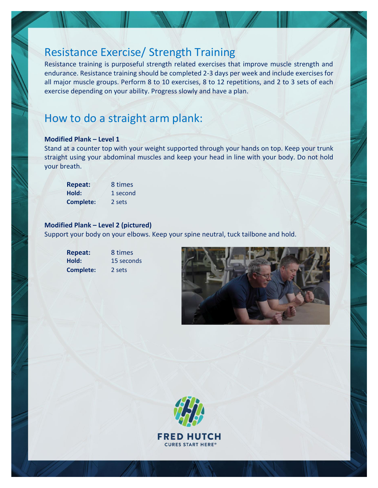## Resistance Exercise/ Strength Training

Resistance training is purposeful strength related exercises that improve muscle strength and endurance. Resistance training should be completed 2-3 days per week and include exercises for all major muscle groups. Perform 8 to 10 exercises, 8 to 12 repetitions, and 2 to 3 sets of each exercise depending on your ability. Progress slowly and have a plan.

## How to do a straight arm plank:

#### **Modified Plank – Level 1**

Stand at a counter top with your weight supported through your hands on top. Keep your trunk straight using your abdominal muscles and keep your head in line with your body. Do not hold your breath.

| <b>Repeat:</b>   | 8 times  |
|------------------|----------|
| Hold:            | 1 second |
| <b>Complete:</b> | 2 sets   |

#### **Modified Plank – Level 2 (pictured)**

Support your body on your elbows. Keep your spine neutral, tuck tailbone and hold.

| <b>Repeat:</b> |  |
|----------------|--|
| Hold:          |  |
| Complete:      |  |

**Repeat:** 8 times 15 seconds **Complete:** 2 sets



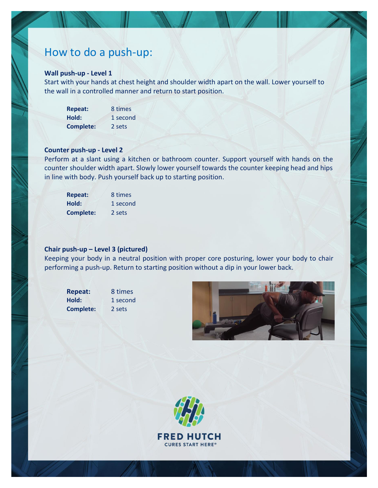## How to do a push-up:

#### **Wall push-up - Level 1**

Start with your hands at chest height and shoulder width apart on the wall. Lower yourself to the wall in a controlled manner and return to start position.

| <b>Repeat:</b>   | 8 times  |
|------------------|----------|
| Hold:            | 1 second |
| <b>Complete:</b> | 2 sets   |

#### **Counter push-up - Level 2**

Perform at a slant using a kitchen or bathroom counter. Support yourself with hands on the counter shoulder width apart. Slowly lower yourself towards the counter keeping head and hips in line with body. Push yourself back up to starting position.

| <b>Repeat:</b>   | 8 times  |
|------------------|----------|
| Hold:            | 1 second |
| <b>Complete:</b> | 2 sets   |

#### **Chair push-up – Level 3 (pictured)**

Keeping your body in a neutral position with proper core posturing, lower your body to chair performing a push-up. Return to starting position without a dip in your lower back.

Hold: 1 second **Complete:** 2 sets

**Repeat:** 8 times



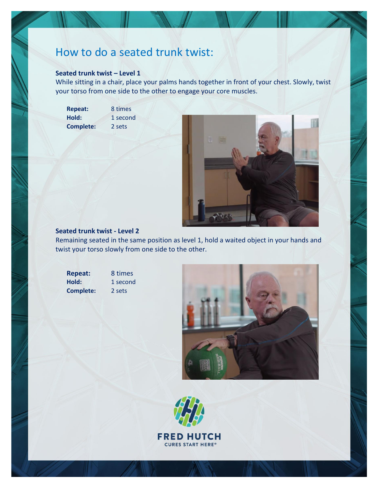## How to do a seated trunk twist:

#### **Seated trunk twist – Level 1**

While sitting in a chair, place your palms hands together in front of your chest. Slowly, twist your torso from one side to the other to engage your core muscles.

**Repeat:** 8 times Hold: 1 second **Complete:** 2 sets



#### **Seated trunk twist - Level 2**

Remaining seated in the same position as level 1, hold a waited object in your hands and twist your torso slowly from one side to the other.

Hold: 1 second **Complete:** 2 sets

**Repeat:** 8 times



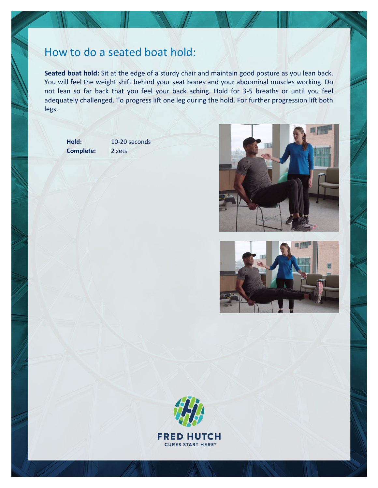### How to do a seated boat hold:

**Seated boat hold:** Sit at the edge of a sturdy chair and maintain good posture as you lean back. You will feel the weight shift behind your seat bones and your abdominal muscles working. Do not lean so far back that you feel your back aching. Hold for 3-5 breaths or until you feel adequately challenged. To progress lift one leg during the hold. For further progression lift both legs.

**Complete:** 2 sets

Hold: 10-20 seconds





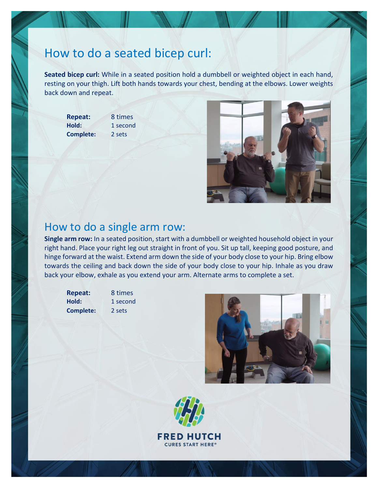# How to do a seated bicep curl:

**Seated bicep curl:** While in a seated position hold a dumbbell or weighted object in each hand, resting on your thigh. Lift both hands towards your chest, bending at the elbows. Lower weights back down and repeat.

**Repeat:** 8 times Hold: 1 second **Complete:** 2 sets



### How to do a single arm row:

**Single arm row:** In a seated position, start with a dumbbell or weighted household object in your right hand. Place your right leg out straight in front of you. Sit up tall, keeping good posture, and hinge forward at the waist. Extend arm down the side of your body close to your hip. Bring elbow towards the ceiling and back down the side of your body close to your hip. Inhale as you draw back your elbow, exhale as you extend your arm. Alternate arms to complete a set.

**Complete:** 2 sets

**Repeat:** 8 times Hold: 1 second



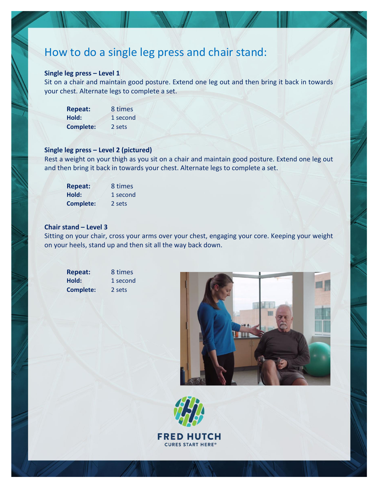### How to do a single leg press and chair stand:

#### **Single leg press – Level 1**

Sit on a chair and maintain good posture. Extend one leg out and then bring it back in towards your chest. Alternate legs to complete a set.

| <b>Repeat:</b>   | 8 times  |
|------------------|----------|
| Hold:            | 1 second |
| <b>Complete:</b> | 2 sets   |

#### **Single leg press – Level 2 (pictured)**

Rest a weight on your thigh as you sit on a chair and maintain good posture. Extend one leg out and then bring it back in towards your chest. Alternate legs to complete a set.

| <b>Repeat:</b>   | 8 times  |
|------------------|----------|
| Hold:            | 1 second |
| <b>Complete:</b> | 2 sets   |

#### **Chair stand – Level 3**

Sitting on your chair, cross your arms over your chest, engaging your core. Keeping your weight on your heels, stand up and then sit all the way back down.

| <b>Repeat:</b> | 8 time |
|----------------|--------|
| Hold:          | 1 secc |
| Complete:      | 2 sets |

**Repeat:** 8 times **Hold:** 1 second





**FRED HUTCH CURES START HERE®**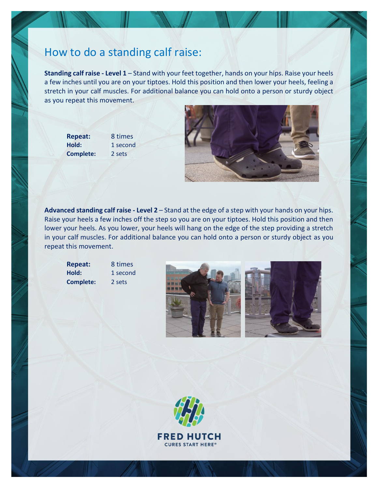### How to do a standing calf raise:

**Standing calf raise - Level 1** – Stand with your feet together, hands on your hips. Raise your heels a few inches until you are on your tiptoes. Hold this position and then lower your heels, feeling a stretch in your calf muscles. For additional balance you can hold onto a person or sturdy object as you repeat this movement.

**Repeat:** 8 times Hold: 1 second **Complete:** 2 sets



**Advanced standing calf raise - Level 2** – Stand at the edge of a step with your hands on your hips. Raise your heels a few inches off the step so you are on your tiptoes. Hold this position and then lower your heels. As you lower, your heels will hang on the edge of the step providing a stretch in your calf muscles. For additional balance you can hold onto a person or sturdy object as you repeat this movement.

**Repeat:** 8 times **Hold:** 1 second **Complete:** 2 sets





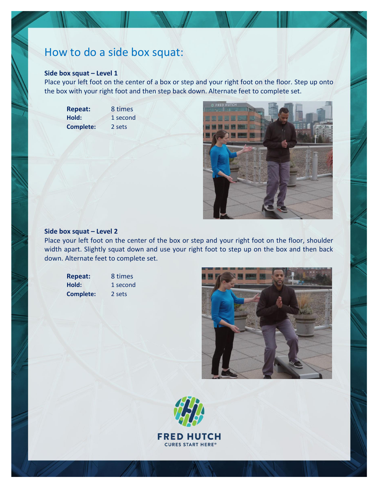## How to do a side box squat:

#### **Side box squat – Level 1**

Place your left foot on the center of a box or step and your right foot on the floor. Step up onto the box with your right foot and then step back down. Alternate feet to complete set.

**Repeat:** 8 times Hold: 1 second **Complete:** 2 sets



#### **Side box squat – Level 2**

Place your left foot on the center of the box or step and your right foot on the floor, shoulder width apart. Slightly squat down and use your right foot to step up on the box and then back down. Alternate feet to complete set.

- **Complete:** 2 sets
- **Repeat:** 8 times Hold: 1 second



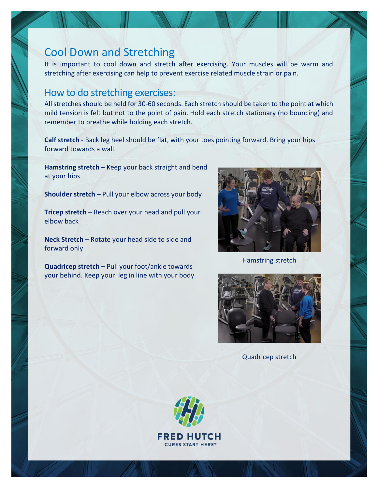## Cool Down and Stretching

It is important to cool down and stretch after exercising. Your muscles will be warm and stretching after exercising can help to prevent exercise related muscle strain or pain.

### How to do stretching exercises:

All stretches should be held for 30-60 seconds. Each stretch should be taken to the point at which mild tension is felt but not to the point of pain. Hold each stretch stationary (no bouncing) and remember to breathe while holding each stretch.

**Calf stretch** - Back leg heel should be flat, with your toes pointing forward. Bring your hips forward towards a wall.

**Hamstring stretch** – Keep your back straight and bend at your hips

**Shoulder stretch** – Pull your elbow across your body

**Tricep stretch** – Reach over your head and pull your elbow back

**Neck Stretch** – Rotate your head side to side and forward only

**Quadricep stretch –** Pull your foot/ankle towards your behind. Keep your leg in line with your body



Hamstring stretch



Quadricep stretch